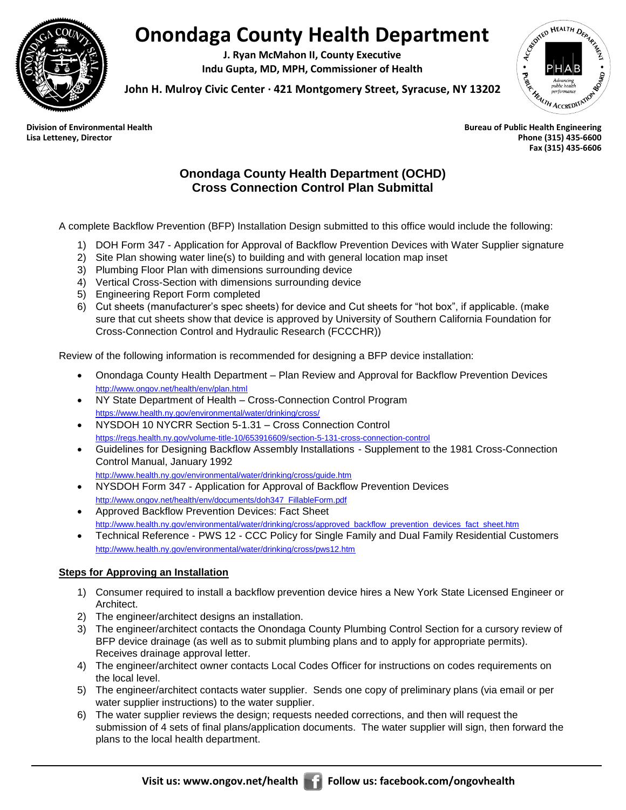

## **Onondaga County Health Department**

**J. Ryan McMahon II, County Executive Indu Gupta, MD, MPH, Commissioner of Health**



**John H. Mulroy Civic Center ∙ 421 Montgomery Street, Syracuse, NY 13202 Division of Environmental Health**<br> **Division of Environmental Health**<br> **Division of Environmental Health**<br>
Bureau of Public Health Engineering

**Lisa Letteney, Director Phone (315) 435-6600 Fax (315) 435-6606**

## **Onondaga County Health Department (OCHD) Cross Connection Control Plan Submittal**

A complete Backflow Prevention (BFP) Installation Design submitted to this office would include the following:

- 1) DOH Form 347 Application for Approval of Backflow Prevention Devices with Water Supplier signature
- 2) Site Plan showing water line(s) to building and with general location map inset
- 3) Plumbing Floor Plan with dimensions surrounding device
- 4) Vertical Cross-Section with dimensions surrounding device
- 5) Engineering Report Form completed
- 6) Cut sheets (manufacturer's spec sheets) for device and Cut sheets for "hot box", if applicable. (make sure that cut sheets show that device is approved by University of Southern California Foundation for Cross-Connection Control and Hydraulic Research (FCCCHR))

Review of the following information is recommended for designing a BFP device installation:

- Onondaga County Health Department Plan Review and Approval for Backflow Prevention Devices <http://www.ongov.net/health/env/plan.html>
- NY State Department of Health Cross-Connection Control Program <https://www.health.ny.gov/environmental/water/drinking/cross/>
- NYSDOH 10 NYCRR Section 5-1.31 Cross Connection Control <https://regs.health.ny.gov/volume-title-10/653916609/section-5-131-cross-connection-control>
- Guidelines for Designing Backflow Assembly Installations Supplement to the 1981 Cross-Connection Control Manual, January 1992
- <http://www.health.ny.gov/environmental/water/drinking/cross/guide.htm> NYSDOH Form 347 - Application for Approval of Backflow Prevention Devices [http://www.ongov.net/health/env/documents/doh347\\_FillableForm.pdf](http://www.ongov.net/health/env/documents/doh347_FillableForm.pdf)
- Approved Backflow Prevention Devices: Fact Sheet [http://www.health.ny.gov/environmental/water/drinking/cross/approved\\_backflow\\_prevention\\_devices\\_fact\\_sheet.htm](http://www.health.ny.gov/environmental/water/drinking/cross/approved_backflow_prevention_devices_fact_sheet.htm)
- Technical Reference PWS 12 CCC Policy for Single Family and Dual Family Residential Customers <http://www.health.ny.gov/environmental/water/drinking/cross/pws12.htm>

## **Steps for Approving an Installation**

- 1) Consumer required to install a backflow prevention device hires a New York State Licensed Engineer or Architect.
- 2) The engineer/architect designs an installation.
- 3) The engineer/architect contacts the Onondaga County Plumbing Control Section for a cursory review of BFP device drainage (as well as to submit plumbing plans and to apply for appropriate permits). Receives drainage approval letter.
- 4) The engineer/architect owner contacts Local Codes Officer for instructions on codes requirements on the local level.
- 5) The engineer/architect contacts water supplier. Sends one copy of preliminary plans (via email or per water supplier instructions) to the water supplier.
- 6) The water supplier reviews the design; requests needed corrections, and then will request the submission of 4 sets of final plans/application documents. The water supplier will sign, then forward the plans to the local health department.